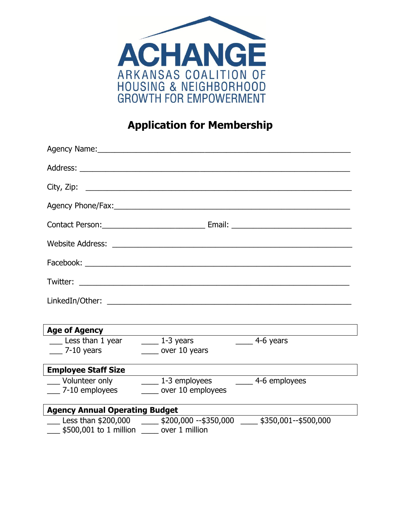

# **Application for Membership**

|                                                                   | Agency Name: Mannell Agency Name: Agency Name: Agency Name: Agency Name: Agency Name: Agency Name: Agency Name: Agency Name: Agency Name: Agency Name: Agency Name: Agency Name: Agency Name: Agency Name: Agency Name: Agency |                       |
|-------------------------------------------------------------------|--------------------------------------------------------------------------------------------------------------------------------------------------------------------------------------------------------------------------------|-----------------------|
|                                                                   |                                                                                                                                                                                                                                |                       |
|                                                                   |                                                                                                                                                                                                                                |                       |
|                                                                   |                                                                                                                                                                                                                                |                       |
|                                                                   |                                                                                                                                                                                                                                |                       |
|                                                                   |                                                                                                                                                                                                                                |                       |
|                                                                   |                                                                                                                                                                                                                                |                       |
|                                                                   |                                                                                                                                                                                                                                |                       |
|                                                                   |                                                                                                                                                                                                                                |                       |
|                                                                   |                                                                                                                                                                                                                                |                       |
| <b>Age of Agency</b>                                              |                                                                                                                                                                                                                                |                       |
| $\frac{1}{2}$ Less than 1 year $\frac{1}{2}$ 1-3 years            |                                                                                                                                                                                                                                | $\frac{4-6}{2}$ years |
| $-$ 7-10 years                                                    | $\frac{1}{2}$ over 10 years                                                                                                                                                                                                    |                       |
| <b>Employee Staff Size</b>                                        |                                                                                                                                                                                                                                |                       |
| ___ Volunteer only                                                | 1-3 employees 1-3 employees                                                                                                                                                                                                    |                       |
| $\frac{1}{2}$ 7-10 employees                                      | ____ over 10 employees                                                                                                                                                                                                         |                       |
| <b>Agency Annual Operating Budget</b>                             |                                                                                                                                                                                                                                |                       |
|                                                                   | $\frac{1}{2}$ Less than \$200,000 $\frac{1}{2}$ \$200,000 --\$350,000 $\frac{1}{2}$ \$350,001--\$500,000                                                                                                                       |                       |
| $\frac{1}{2}$ \$500,001 to 1 million $\frac{1}{2}$ over 1 million |                                                                                                                                                                                                                                |                       |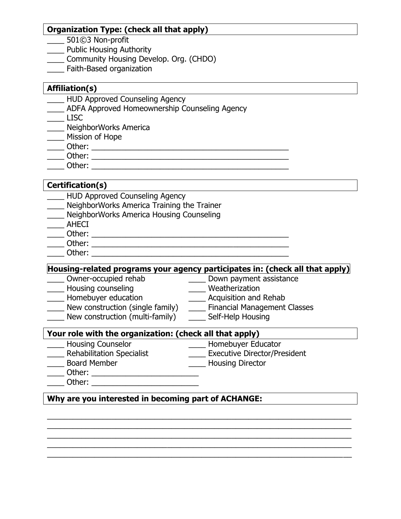### **Organization Type: (check all that apply)**

- \_\_\_\_ 501©3 Non-profit
- Public Housing Authority
- \_\_\_\_ Community Housing Develop. Org. (CHDO)
- \_\_\_\_ Faith-Based organization

#### **Affiliation(s)**

- **HUD Approved Counseling Agency**
- \_\_\_\_ ADFA Approved Homeownership Counseling Agency

 $\overline{\phantom{a}}$  LISC

- **NeighborWorks America**
- \_\_\_\_ Mission of Hope
- \_\_\_\_ Other: \_\_\_\_\_\_\_\_\_\_\_\_\_\_\_\_\_\_\_\_\_\_\_\_\_\_\_\_\_\_\_\_\_\_\_\_\_\_\_\_\_\_\_\_\_\_
- \_\_\_\_ Other: \_\_\_\_\_\_\_\_\_\_\_\_\_\_\_\_\_\_\_\_\_\_\_\_\_\_\_\_\_\_\_\_\_\_\_\_\_\_\_\_\_\_\_\_\_\_
- $\Box$  Other:  $\Box$

# **Certification(s)**

- **LETTER HUD Approved Counseling Agency**
- **NeighborWorks America Training the Trainer**
- \_\_\_\_ NeighborWorks America Housing Counseling
- \_\_\_\_ AHECI
- \_\_\_\_ Other: \_\_\_\_\_\_\_\_\_\_\_\_\_\_\_\_\_\_\_\_\_\_\_\_\_\_\_\_\_\_\_\_\_\_\_\_\_\_\_\_\_\_\_\_\_\_
- \_\_\_\_ Other: \_\_\_\_\_\_\_\_\_\_\_\_\_\_\_\_\_\_\_\_\_\_\_\_\_\_\_\_\_\_\_\_\_\_\_\_\_\_\_\_\_\_\_\_\_\_
- $Other:$

# **Housing-related programs your agency participates in: (check all that apply)**

\_\_\_\_\_\_\_\_\_\_\_\_\_\_\_\_\_\_\_\_\_\_\_\_\_\_\_\_\_\_\_\_\_\_\_\_\_\_\_\_\_\_\_\_\_\_\_\_\_\_\_\_\_\_\_\_\_\_\_\_\_\_\_\_\_\_\_\_\_\_\_ \_\_\_\_\_\_\_\_\_\_\_\_\_\_\_\_\_\_\_\_\_\_\_\_\_\_\_\_\_\_\_\_\_\_\_\_\_\_\_\_\_\_\_\_\_\_\_\_\_\_\_\_\_\_\_\_\_\_\_\_\_\_\_\_\_\_\_\_\_\_\_ \_\_\_\_\_\_\_\_\_\_\_\_\_\_\_\_\_\_\_\_\_\_\_\_\_\_\_\_\_\_\_\_\_\_\_\_\_\_\_\_\_\_\_\_\_\_\_\_\_\_\_\_\_\_\_\_\_\_\_\_\_\_\_\_\_\_\_\_\_\_\_  $\mathcal{L}_\text{max}$  , and the contribution of the contribution of the contribution of the contribution of the contribution of the contribution of the contribution of the contribution of the contribution of the contribution of t  $\overline{a_1}$  , and the contribution of the contribution of the contribution of the contribution of the contribution of the contribution of the contribution of the contribution of the contribution of the contribution of the

- 
- \_\_\_\_ Housing counseling \_\_\_\_ Weatherization
- **\_\_\_\_** Down payment assistance
	-
- \_\_\_\_ Homebuyer education \_\_\_\_ Acquisition and Rehab
- \_\_\_\_ New construction (single family)
- 
- \_\_\_\_ New construction (multi-family) \_\_\_\_ Self-Help Housing

### **Your role with the organization: (check all that apply)**

- \_\_\_\_ Housing Counselor \_\_\_\_ Homebuyer Educator
- 
- \_\_\_\_ Rehabilitation Specialist \_\_\_\_ Executive Director/President
- \_\_\_\_ Board Member \_\_\_\_ Housing Director
- \_\_\_\_ Other: \_\_\_\_\_\_\_\_\_\_\_\_\_\_\_\_\_\_\_\_\_\_\_\_\_
- \_\_\_\_ Other: \_\_\_\_\_\_\_\_\_\_\_\_\_\_\_\_\_\_\_\_\_\_\_\_\_
- **Why are you interested in becoming part of ACHANGE:**